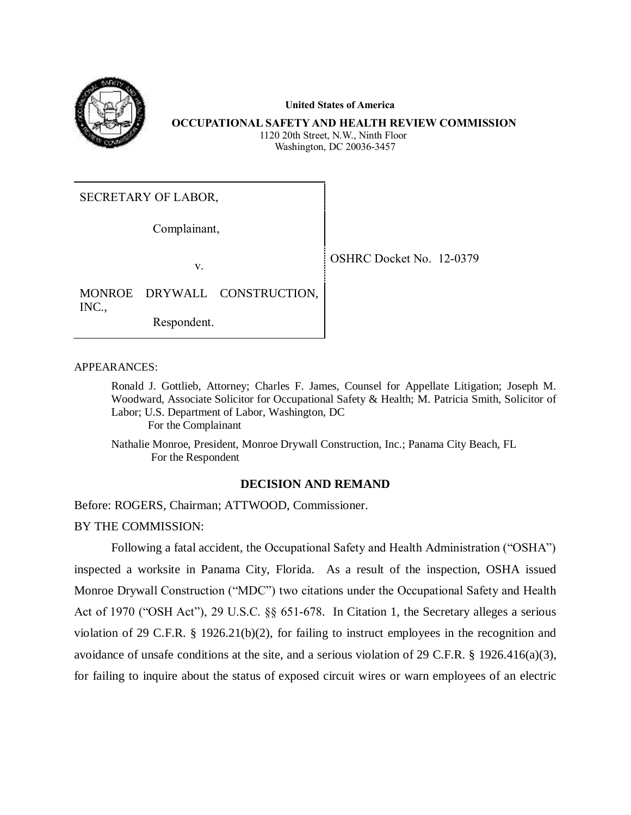

 **United States of America**

**OCCUPATIONAL SAFETY AND HEALTH REVIEW COMMISSION** 1120 20th Street, N.W., Ninth Floor Washington, DC 20036-3457

SECRETARY OF LABOR,

Complainant,

v.

OSHRC Docket No. 12-0379

MONROE DRYWALL CONSTRUCTION, INC., Respondent.

APPEARANCES:

Ronald J. Gottlieb, Attorney; Charles F. James, Counsel for Appellate Litigation; Joseph M. Woodward, Associate Solicitor for Occupational Safety & Health; M. Patricia Smith, Solicitor of Labor; U.S. Department of Labor, Washington, DC For the Complainant

Nathalie Monroe, President, Monroe Drywall Construction, Inc.; Panama City Beach, FL For the Respondent

### **DECISION AND REMAND**

Before: ROGERS, Chairman; ATTWOOD, Commissioner.

BY THE COMMISSION:

Following a fatal accident, the Occupational Safety and Health Administration ("OSHA") inspected a worksite in Panama City, Florida. As a result of the inspection, OSHA issued Monroe Drywall Construction ("MDC") two citations under the Occupational Safety and Health Act of 1970 ("OSH Act"), 29 U.S.C. §§ 651-678. In Citation 1, the Secretary alleges a serious violation of 29 C.F.R. § 1926.21(b)(2), for failing to instruct employees in the recognition and avoidance of unsafe conditions at the site, and a serious violation of 29 C.F.R. § 1926.416(a)(3), for failing to inquire about the status of exposed circuit wires or warn employees of an electric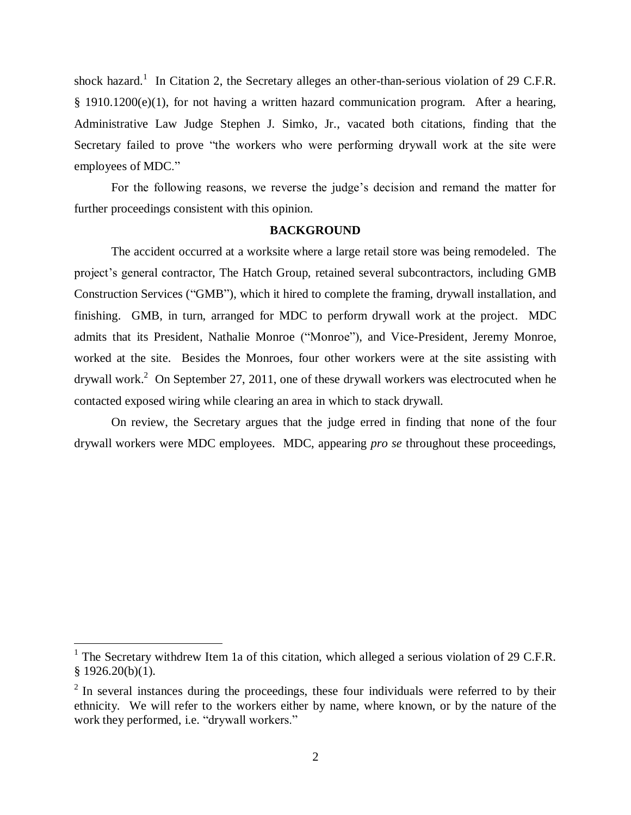shock hazard.<sup>1</sup> In Citation 2, the Secretary alleges an other-than-serious violation of 29 C.F.R. § 1910.1200(e)(1), for not having a written hazard communication program. After a hearing, Administrative Law Judge Stephen J. Simko, Jr., vacated both citations, finding that the Secretary failed to prove "the workers who were performing drywall work at the site were employees of MDC."

For the following reasons, we reverse the judge's decision and remand the matter for further proceedings consistent with this opinion.

### **BACKGROUND**

The accident occurred at a worksite where a large retail store was being remodeled. The project's general contractor, The Hatch Group, retained several subcontractors, including GMB Construction Services ("GMB"), which it hired to complete the framing, drywall installation, and finishing. GMB, in turn, arranged for MDC to perform drywall work at the project. MDC admits that its President, Nathalie Monroe ("Monroe"), and Vice-President, Jeremy Monroe, worked at the site. Besides the Monroes, four other workers were at the site assisting with drywall work.<sup>2</sup> On September 27, 2011, one of these drywall workers was electrocuted when he contacted exposed wiring while clearing an area in which to stack drywall.

On review, the Secretary argues that the judge erred in finding that none of the four drywall workers were MDC employees. MDC, appearing *pro se* throughout these proceedings,

<sup>&</sup>lt;sup>1</sup> The Secretary withdrew Item 1a of this citation, which alleged a serious violation of 29 C.F.R.  $§$  1926.20(b)(1).

 $2$  In several instances during the proceedings, these four individuals were referred to by their ethnicity. We will refer to the workers either by name, where known, or by the nature of the work they performed, i.e. "drywall workers."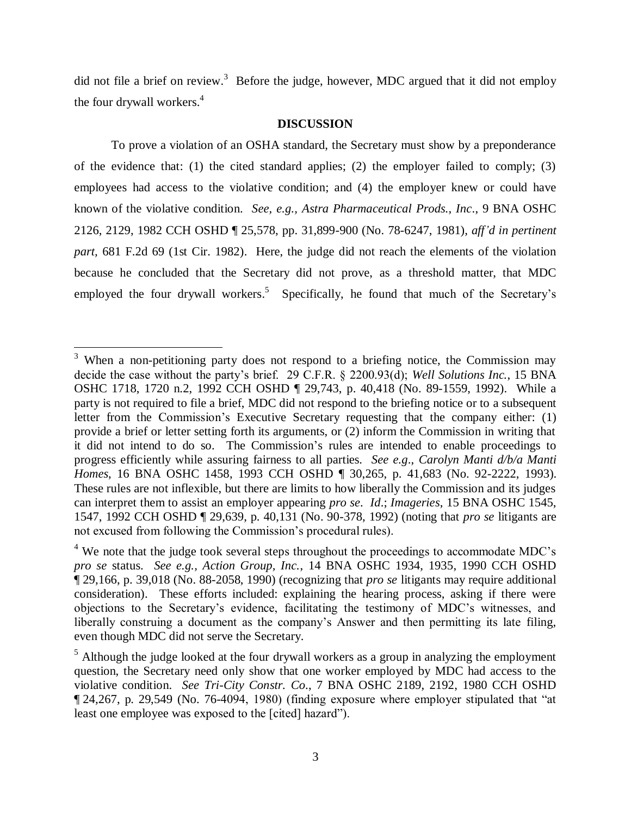did not file a brief on review.<sup>3</sup> Before the judge, however, MDC argued that it did not employ the four drywall workers.<sup>4</sup>

### **DISCUSSION**

To prove a violation of an OSHA standard, the Secretary must show by a preponderance of the evidence that: (1) the cited standard applies; (2) the employer failed to comply; (3) employees had access to the violative condition; and (4) the employer knew or could have known of the violative condition. *See, e.g., Astra Pharmaceutical Prods., Inc*., 9 BNA OSHC 2126, 2129, 1982 CCH OSHD ¶ 25,578, pp. 31,899-900 (No. 78-6247, 1981), *aff'd in pertinent part,* 681 F.2d 69 (1st Cir. 1982). Here, the judge did not reach the elements of the violation because he concluded that the Secretary did not prove, as a threshold matter, that MDC employed the four drywall workers.<sup>5</sup> Specifically, he found that much of the Secretary's

 $3$  When a non-petitioning party does not respond to a briefing notice, the Commission may decide the case without the party's brief. 29 C.F.R. § 2200.93(d); *Well Solutions Inc.*, 15 BNA OSHC 1718, 1720 n.2, 1992 CCH OSHD ¶ 29,743, p. 40,418 (No. 89-1559, 1992). While a party is not required to file a brief, MDC did not respond to the briefing notice or to a subsequent letter from the Commission's Executive Secretary requesting that the company either: (1) provide a brief or letter setting forth its arguments, or (2) inform the Commission in writing that it did not intend to do so. The Commission's rules are intended to enable proceedings to progress efficiently while assuring fairness to all parties. *See e.g*., *Carolyn Manti d/b/a Manti Homes*, 16 BNA OSHC 1458, 1993 CCH OSHD ¶ 30,265, p. 41,683 (No. 92-2222, 1993). These rules are not inflexible, but there are limits to how liberally the Commission and its judges can interpret them to assist an employer appearing *pro se*. *Id*.; *Imageries*, 15 BNA OSHC 1545, 1547, 1992 CCH OSHD ¶ 29,639, p. 40,131 (No. 90-378, 1992) (noting that *pro se* litigants are not excused from following the Commission's procedural rules).

<sup>&</sup>lt;sup>4</sup> We note that the judge took several steps throughout the proceedings to accommodate MDC's *pro se* status. *See e.g., Action Group, Inc.*, 14 BNA OSHC 1934, 1935, 1990 CCH OSHD ¶ 29,166, p. 39,018 (No. 88-2058, 1990) (recognizing that *pro se* litigants may require additional consideration). These efforts included: explaining the hearing process, asking if there were objections to the Secretary's evidence, facilitating the testimony of MDC's witnesses, and liberally construing a document as the company's Answer and then permitting its late filing, even though MDC did not serve the Secretary.

 $<sup>5</sup>$  Although the judge looked at the four drywall workers as a group in analyzing the employment</sup> question, the Secretary need only show that one worker employed by MDC had access to the violative condition. *See Tri-City Constr. Co*., 7 BNA OSHC 2189, 2192, 1980 CCH OSHD ¶ 24,267, p. 29,549 (No. 76-4094, 1980) (finding exposure where employer stipulated that "at least one employee was exposed to the [cited] hazard").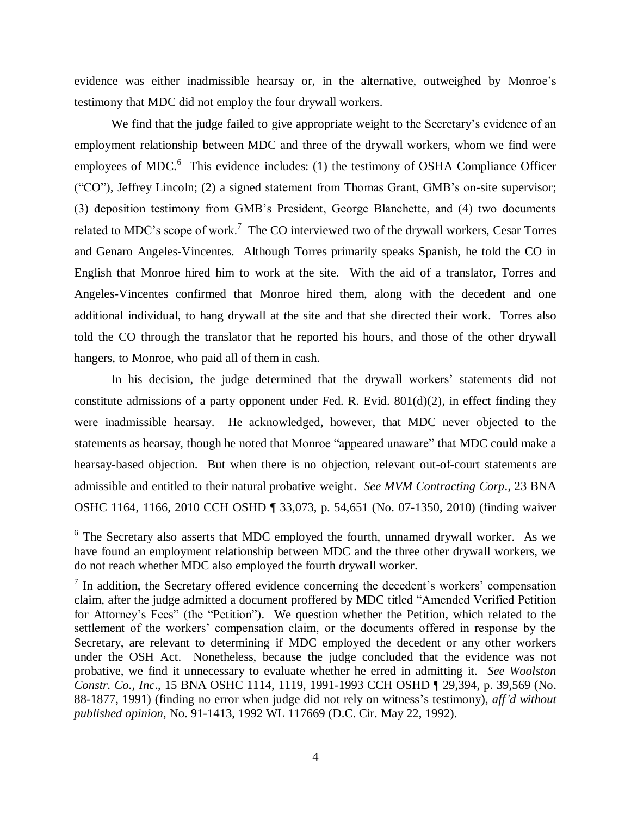evidence was either inadmissible hearsay or, in the alternative, outweighed by Monroe's testimony that MDC did not employ the four drywall workers.

We find that the judge failed to give appropriate weight to the Secretary's evidence of an employment relationship between MDC and three of the drywall workers, whom we find were employees of MDC. $\rm^6$  This evidence includes: (1) the testimony of OSHA Compliance Officer ("CO"), Jeffrey Lincoln; (2) a signed statement from Thomas Grant, GMB's on-site supervisor; (3) deposition testimony from GMB's President, George Blanchette, and (4) two documents related to MDC's scope of work.<sup>7</sup> The CO interviewed two of the drywall workers, Cesar Torres and Genaro Angeles-Vincentes. Although Torres primarily speaks Spanish, he told the CO in English that Monroe hired him to work at the site. With the aid of a translator, Torres and Angeles-Vincentes confirmed that Monroe hired them, along with the decedent and one additional individual, to hang drywall at the site and that she directed their work. Torres also told the CO through the translator that he reported his hours, and those of the other drywall hangers, to Monroe, who paid all of them in cash.

In his decision, the judge determined that the drywall workers' statements did not constitute admissions of a party opponent under Fed. R. Evid.  $801(d)(2)$ , in effect finding they were inadmissible hearsay. He acknowledged, however, that MDC never objected to the statements as hearsay, though he noted that Monroe "appeared unaware" that MDC could make a hearsay-based objection. But when there is no objection, relevant out-of-court statements are admissible and entitled to their natural probative weight. *See MVM Contracting Corp*., 23 BNA OSHC 1164, 1166, 2010 CCH OSHD ¶ 33,073, p. 54,651 (No. 07-1350, 2010) (finding waiver

 $6$  The Secretary also asserts that MDC employed the fourth, unnamed drywall worker. As we have found an employment relationship between MDC and the three other drywall workers, we do not reach whether MDC also employed the fourth drywall worker.

 $<sup>7</sup>$  In addition, the Secretary offered evidence concerning the decedent's workers' compensation</sup> claim, after the judge admitted a document proffered by MDC titled "Amended Verified Petition for Attorney's Fees" (the "Petition"). We question whether the Petition, which related to the settlement of the workers' compensation claim, or the documents offered in response by the Secretary, are relevant to determining if MDC employed the decedent or any other workers under the OSH Act. Nonetheless, because the judge concluded that the evidence was not probative, we find it unnecessary to evaluate whether he erred in admitting it. *See Woolston Constr. Co., Inc*., 15 BNA OSHC 1114, 1119, 1991-1993 CCH OSHD ¶ 29,394, p. 39,569 (No. 88-1877, 1991) (finding no error when judge did not rely on witness's testimony), *aff'd without published opinion*, No. 91-1413, 1992 WL 117669 (D.C. Cir. May 22, 1992).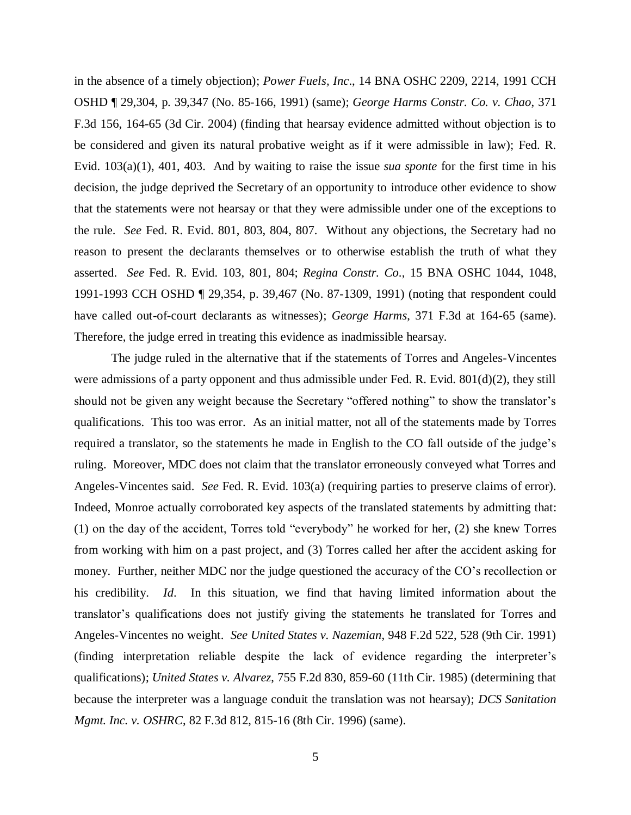in the absence of a timely objection); *Power Fuels, Inc*., 14 BNA OSHC 2209, 2214, 1991 CCH OSHD ¶ 29,304, p. 39,347 (No. 85-166, 1991) (same); *George Harms Constr. Co. v. Chao*, 371 F.3d 156, 164-65 (3d Cir. 2004) (finding that hearsay evidence admitted without objection is to be considered and given its natural probative weight as if it were admissible in law); Fed. R. Evid. 103(a)(1), 401, 403. And by waiting to raise the issue *sua sponte* for the first time in his decision, the judge deprived the Secretary of an opportunity to introduce other evidence to show that the statements were not hearsay or that they were admissible under one of the exceptions to the rule. *See* Fed. R. Evid. 801, 803, 804, 807. Without any objections, the Secretary had no reason to present the declarants themselves or to otherwise establish the truth of what they asserted. *See* Fed. R. Evid. 103, 801, 804; *Regina Constr. Co*., 15 BNA OSHC 1044, 1048, 1991-1993 CCH OSHD ¶ 29,354, p. 39,467 (No. 87-1309, 1991) (noting that respondent could have called out-of-court declarants as witnesses); *George Harms*, 371 F.3d at 164-65 (same). Therefore, the judge erred in treating this evidence as inadmissible hearsay.

The judge ruled in the alternative that if the statements of Torres and Angeles-Vincentes were admissions of a party opponent and thus admissible under Fed. R. Evid. 801(d)(2), they still should not be given any weight because the Secretary "offered nothing" to show the translator's qualifications. This too was error. As an initial matter, not all of the statements made by Torres required a translator, so the statements he made in English to the CO fall outside of the judge's ruling. Moreover, MDC does not claim that the translator erroneously conveyed what Torres and Angeles-Vincentes said. *See* Fed. R. Evid. 103(a) (requiring parties to preserve claims of error). Indeed, Monroe actually corroborated key aspects of the translated statements by admitting that: (1) on the day of the accident, Torres told "everybody" he worked for her, (2) she knew Torres from working with him on a past project, and (3) Torres called her after the accident asking for money. Further, neither MDC nor the judge questioned the accuracy of the CO's recollection or his credibility. *Id*. In this situation, we find that having limited information about the translator's qualifications does not justify giving the statements he translated for Torres and Angeles-Vincentes no weight. *See United States v. Nazemian*, 948 F.2d 522, 528 (9th Cir. 1991) (finding interpretation reliable despite the lack of evidence regarding the interpreter's qualifications); *United States v. Alvarez*, 755 F.2d 830, 859-60 (11th Cir. 1985) (determining that because the interpreter was a language conduit the translation was not hearsay); *DCS Sanitation Mgmt. Inc. v. OSHRC*, 82 F.3d 812, 815-16 (8th Cir. 1996) (same).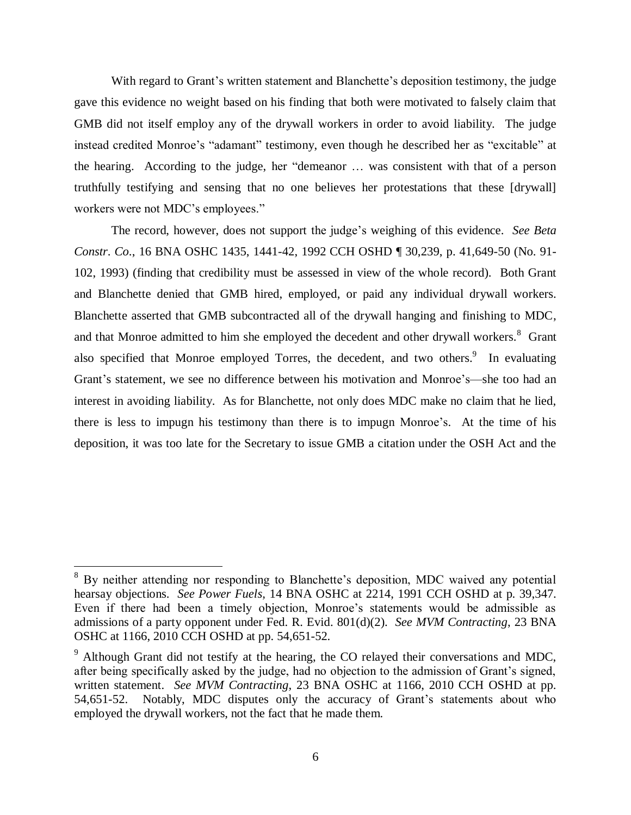With regard to Grant's written statement and Blanchette's deposition testimony, the judge gave this evidence no weight based on his finding that both were motivated to falsely claim that GMB did not itself employ any of the drywall workers in order to avoid liability. The judge instead credited Monroe's "adamant" testimony, even though he described her as "excitable" at the hearing. According to the judge, her "demeanor … was consistent with that of a person truthfully testifying and sensing that no one believes her protestations that these [drywall] workers were not MDC's employees."

The record, however, does not support the judge's weighing of this evidence. *See Beta Constr*. *Co*., 16 BNA OSHC 1435, 1441-42, 1992 CCH OSHD ¶ 30,239, p. 41,649-50 (No. 91- 102, 1993) (finding that credibility must be assessed in view of the whole record). Both Grant and Blanchette denied that GMB hired, employed, or paid any individual drywall workers. Blanchette asserted that GMB subcontracted all of the drywall hanging and finishing to MDC, and that Monroe admitted to him she employed the decedent and other drywall workers.<sup>8</sup> Grant also specified that Monroe employed Torres, the decedent, and two others.<sup>9</sup> In evaluating Grant's statement, we see no difference between his motivation and Monroe's—she too had an interest in avoiding liability. As for Blanchette, not only does MDC make no claim that he lied, there is less to impugn his testimony than there is to impugn Monroe's. At the time of his deposition, it was too late for the Secretary to issue GMB a citation under the OSH Act and the

<sup>&</sup>lt;sup>8</sup> By neither attending nor responding to Blanchette's deposition, MDC waived any potential hearsay objections. *See Power Fuels,* 14 BNA OSHC at 2214, 1991 CCH OSHD at p. 39,347. Even if there had been a timely objection, Monroe's statements would be admissible as admissions of a party opponent under Fed. R. Evid. 801(d)(2). *See MVM Contracting*, 23 BNA OSHC at 1166, 2010 CCH OSHD at pp. 54,651-52.

 $9$  Although Grant did not testify at the hearing, the CO relayed their conversations and MDC, after being specifically asked by the judge, had no objection to the admission of Grant's signed, written statement. *See MVM Contracting*, 23 BNA OSHC at 1166, 2010 CCH OSHD at pp. 54,651-52. Notably, MDC disputes only the accuracy of Grant's statements about who employed the drywall workers, not the fact that he made them.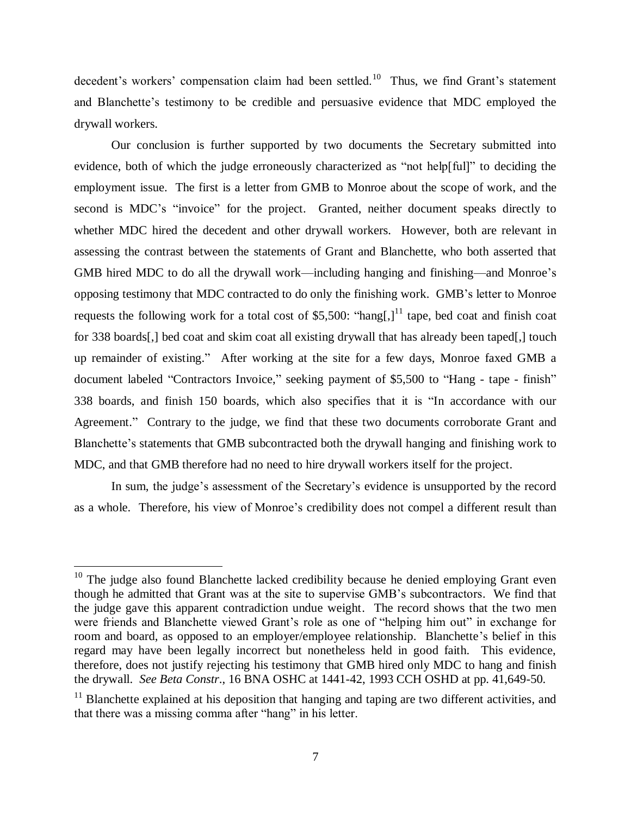decedent's workers' compensation claim had been settled.<sup>10</sup> Thus, we find Grant's statement and Blanchette's testimony to be credible and persuasive evidence that MDC employed the drywall workers.

Our conclusion is further supported by two documents the Secretary submitted into evidence, both of which the judge erroneously characterized as "not help[ful]" to deciding the employment issue. The first is a letter from GMB to Monroe about the scope of work, and the second is MDC's "invoice" for the project. Granted, neither document speaks directly to whether MDC hired the decedent and other drywall workers. However, both are relevant in assessing the contrast between the statements of Grant and Blanchette, who both asserted that GMB hired MDC to do all the drywall work—including hanging and finishing—and Monroe's opposing testimony that MDC contracted to do only the finishing work. GMB's letter to Monroe requests the following work for a total cost of \$5,500: "hang[,]<sup>11</sup> tape, bed coat and finish coat for 338 boards[,] bed coat and skim coat all existing drywall that has already been taped[,] touch up remainder of existing." After working at the site for a few days, Monroe faxed GMB a document labeled "Contractors Invoice," seeking payment of \$5,500 to "Hang - tape - finish" 338 boards, and finish 150 boards, which also specifies that it is "In accordance with our Agreement." Contrary to the judge, we find that these two documents corroborate Grant and Blanchette's statements that GMB subcontracted both the drywall hanging and finishing work to MDC, and that GMB therefore had no need to hire drywall workers itself for the project.

In sum, the judge's assessment of the Secretary's evidence is unsupported by the record as a whole. Therefore, his view of Monroe's credibility does not compel a different result than

 $10$  The judge also found Blanchette lacked credibility because he denied employing Grant even though he admitted that Grant was at the site to supervise GMB's subcontractors. We find that the judge gave this apparent contradiction undue weight. The record shows that the two men were friends and Blanchette viewed Grant's role as one of "helping him out" in exchange for room and board, as opposed to an employer/employee relationship. Blanchette's belief in this regard may have been legally incorrect but nonetheless held in good faith. This evidence, therefore, does not justify rejecting his testimony that GMB hired only MDC to hang and finish the drywall. *See Beta Constr*., 16 BNA OSHC at 1441-42, 1993 CCH OSHD at pp. 41,649-50.

 $11$  Blanchette explained at his deposition that hanging and taping are two different activities, and that there was a missing comma after "hang" in his letter.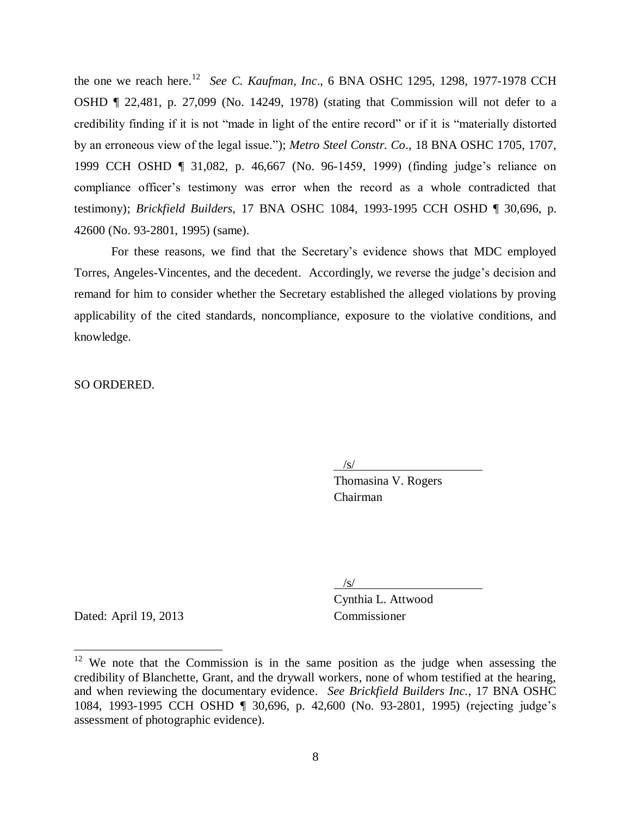the one we reach here. 12 *See C. Kaufman, Inc*., 6 BNA OSHC 1295, 1298, 1977-1978 CCH OSHD ¶ 22,481, p. 27,099 (No. 14249, 1978) (stating that Commission will not defer to a credibility finding if it is not "made in light of the entire record" or if it is "materially distorted by an erroneous view of the legal issue."); *Metro Steel Constr. Co*., 18 BNA OSHC 1705, 1707, 1999 CCH OSHD ¶ 31,082, p. 46,667 (No. 96-1459, 1999) (finding judge's reliance on compliance officer's testimony was error when the record as a whole contradicted that testimony); *Brickfield Builders*, 17 BNA OSHC 1084, 1993-1995 CCH OSHD ¶ 30,696, p. 42600 (No. 93-2801, 1995) (same).

For these reasons, we find that the Secretary's evidence shows that MDC employed Torres, Angeles-Vincentes, and the decedent. Accordingly, we reverse the judge's decision and remand for him to consider whether the Secretary established the alleged violations by proving applicability of the cited standards, noncompliance, exposure to the violative conditions, and knowledge.

SO ORDERED.

 $\frac{1}{s}$ 

Thomasina V. Rogers Chairman

 $\sqrt{s/}$ 

Dated: April 19, 2013 Commissioner

 $\overline{a}$ 

Cynthia L. Attwood

 $12$  We note that the Commission is in the same position as the judge when assessing the credibility of Blanchette, Grant, and the drywall workers, none of whom testified at the hearing, and when reviewing the documentary evidence. *See Brickfield Builders Inc.*, 17 BNA OSHC 1084, 1993-1995 CCH OSHD ¶ 30,696, p. 42,600 (No. 93-2801, 1995) (rejecting judge's assessment of photographic evidence).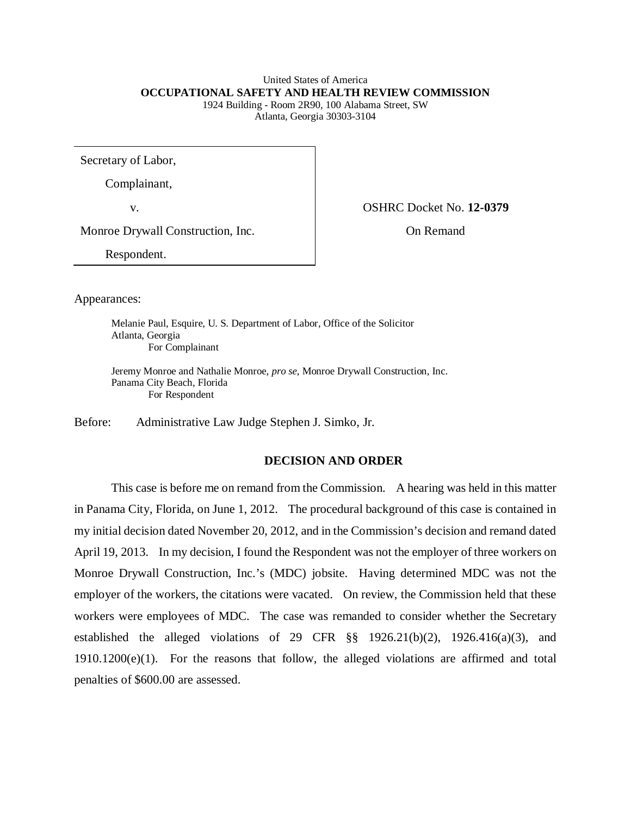#### United States of America **OCCUPATIONAL SAFETY AND HEALTH REVIEW COMMISSION** 1924 Building - Room 2R90, 100 Alabama Street, SW

Atlanta, Georgia 30303-3104

Secretary of Labor,

Complainant,

v. OSHRC Docket No. **12-0379**

Monroe Drywall Construction, Inc. <br>
On Remand

Respondent.

Appearances:

Melanie Paul, Esquire, U. S. Department of Labor, Office of the Solicitor Atlanta, Georgia For Complainant

Jeremy Monroe and Nathalie Monroe, *pro se,* Monroe Drywall Construction, Inc. Panama City Beach, Florida For Respondent

Before: Administrative Law Judge Stephen J. Simko, Jr.

# **DECISION AND ORDER**

This case is before me on remand from the Commission. A hearing was held in this matter in Panama City, Florida, on June 1, 2012. The procedural background of this case is contained in my initial decision dated November 20, 2012, and in the Commission's decision and remand dated April 19, 2013. In my decision, I found the Respondent was not the employer of three workers on Monroe Drywall Construction, Inc.'s (MDC) jobsite. Having determined MDC was not the employer of the workers, the citations were vacated. On review, the Commission held that these workers were employees of MDC. The case was remanded to consider whether the Secretary established the alleged violations of 29 CFR §§ 1926.21(b)(2), 1926.416(a)(3), and 1910.1200(e)(1). For the reasons that follow, the alleged violations are affirmed and total penalties of \$600.00 are assessed.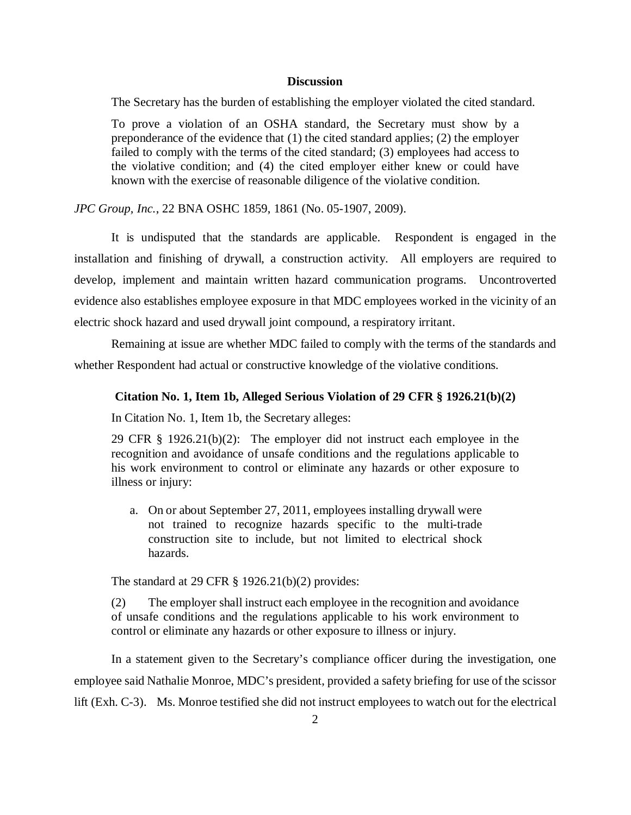#### **Discussion**

The Secretary has the burden of establishing the employer violated the cited standard.

To prove a violation of an OSHA standard, the Secretary must show by a preponderance of the evidence that (1) the cited standard applies; (2) the employer failed to comply with the terms of the cited standard; (3) employees had access to the violative condition; and (4) the cited employer either knew or could have known with the exercise of reasonable diligence of the violative condition.

*JPC Group, Inc.*, 22 BNA OSHC 1859, 1861 (No. 05-1907, 2009).

It is undisputed that the standards are applicable. Respondent is engaged in the installation and finishing of drywall, a construction activity. All employers are required to develop, implement and maintain written hazard communication programs. Uncontroverted evidence also establishes employee exposure in that MDC employees worked in the vicinity of an electric shock hazard and used drywall joint compound, a respiratory irritant.

Remaining at issue are whether MDC failed to comply with the terms of the standards and whether Respondent had actual or constructive knowledge of the violative conditions.

#### **Citation No. 1, Item 1b, Alleged Serious Violation of 29 CFR § 1926.21(b)(2)**

In Citation No. 1, Item 1b, the Secretary alleges:

29 CFR § 1926.21(b)(2):The employer did not instruct each employee in the recognition and avoidance of unsafe conditions and the regulations applicable to his work environment to control or eliminate any hazards or other exposure to illness or injury:

a. On or about September 27, 2011, employees installing drywall were not trained to recognize hazards specific to the multi-trade construction site to include, but not limited to electrical shock hazards.

The standard at 29 CFR  $\S$  1926.21(b)(2) provides:

(2) The employer shall instruct each employee in the recognition and avoidance of unsafe conditions and the regulations applicable to his work environment to control or eliminate any hazards or other exposure to illness or injury.

In a statement given to the Secretary's compliance officer during the investigation, one employee said Nathalie Monroe, MDC's president, provided a safety briefing for use of the scissor lift (Exh. C-3). Ms. Monroe testified she did not instruct employees to watch out for the electrical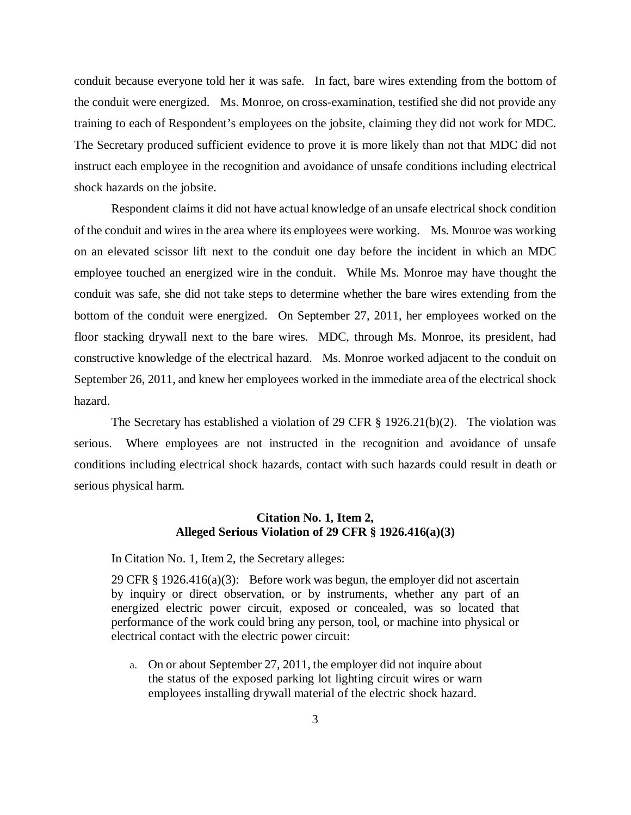conduit because everyone told her it was safe. In fact, bare wires extending from the bottom of the conduit were energized. Ms. Monroe, on cross-examination, testified she did not provide any training to each of Respondent's employees on the jobsite, claiming they did not work for MDC. The Secretary produced sufficient evidence to prove it is more likely than not that MDC did not instruct each employee in the recognition and avoidance of unsafe conditions including electrical shock hazards on the jobsite.

Respondent claims it did not have actual knowledge of an unsafe electrical shock condition of the conduit and wires in the area where its employees were working. Ms. Monroe was working on an elevated scissor lift next to the conduit one day before the incident in which an MDC employee touched an energized wire in the conduit. While Ms. Monroe may have thought the conduit was safe, she did not take steps to determine whether the bare wires extending from the bottom of the conduit were energized. On September 27, 2011, her employees worked on the floor stacking drywall next to the bare wires. MDC, through Ms. Monroe, its president, had constructive knowledge of the electrical hazard. Ms. Monroe worked adjacent to the conduit on September 26, 2011, and knew her employees worked in the immediate area of the electrical shock hazard.

The Secretary has established a violation of 29 CFR § 1926.21(b)(2). The violation was serious. Where employees are not instructed in the recognition and avoidance of unsafe conditions including electrical shock hazards, contact with such hazards could result in death or serious physical harm.

### **Citation No. 1, Item 2, Alleged Serious Violation of 29 CFR § 1926.416(a)(3)**

In Citation No. 1, Item 2, the Secretary alleges:

29 CFR  $\S$  1926.416(a)(3): Before work was begun, the employer did not ascertain by inquiry or direct observation, or by instruments, whether any part of an energized electric power circuit, exposed or concealed, was so located that performance of the work could bring any person, tool, or machine into physical or electrical contact with the electric power circuit:

a. On or about September 27, 2011, the employer did not inquire about the status of the exposed parking lot lighting circuit wires or warn employees installing drywall material of the electric shock hazard.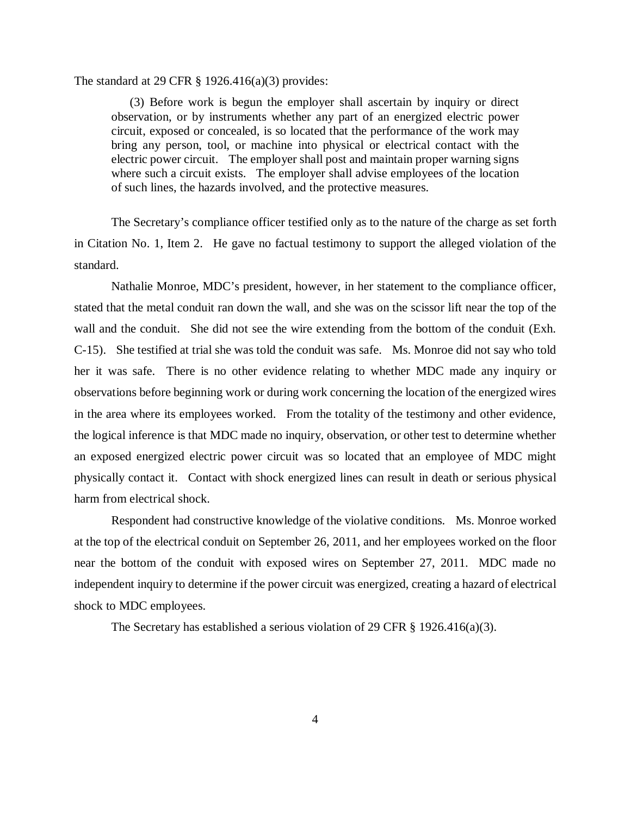The standard at 29 CFR  $\S$  1926.416(a)(3) provides:

(3) Before work is begun the employer shall ascertain by inquiry or direct observation, or by instruments whether any part of an energized electric power circuit, exposed or concealed, is so located that the performance of the work may bring any person, tool, or machine into physical or electrical contact with the electric power circuit. The employer shall post and maintain proper warning signs where such a circuit exists. The employer shall advise employees of the location of such lines, the hazards involved, and the protective measures.

The Secretary's compliance officer testified only as to the nature of the charge as set forth in Citation No. 1, Item 2. He gave no factual testimony to support the alleged violation of the standard.

Nathalie Monroe, MDC's president, however, in her statement to the compliance officer, stated that the metal conduit ran down the wall, and she was on the scissor lift near the top of the wall and the conduit. She did not see the wire extending from the bottom of the conduit (Exh. C-15). She testified at trial she was told the conduit was safe. Ms. Monroe did not say who told her it was safe. There is no other evidence relating to whether MDC made any inquiry or observations before beginning work or during work concerning the location of the energized wires in the area where its employees worked. From the totality of the testimony and other evidence, the logical inference is that MDC made no inquiry, observation, or other test to determine whether an exposed energized electric power circuit was so located that an employee of MDC might physically contact it. Contact with shock energized lines can result in death or serious physical harm from electrical shock.

Respondent had constructive knowledge of the violative conditions. Ms. Monroe worked at the top of the electrical conduit on September 26, 2011, and her employees worked on the floor near the bottom of the conduit with exposed wires on September 27, 2011. MDC made no independent inquiry to determine if the power circuit was energized, creating a hazard of electrical shock to MDC employees.

The Secretary has established a serious violation of 29 CFR  $\S$  1926.416(a)(3).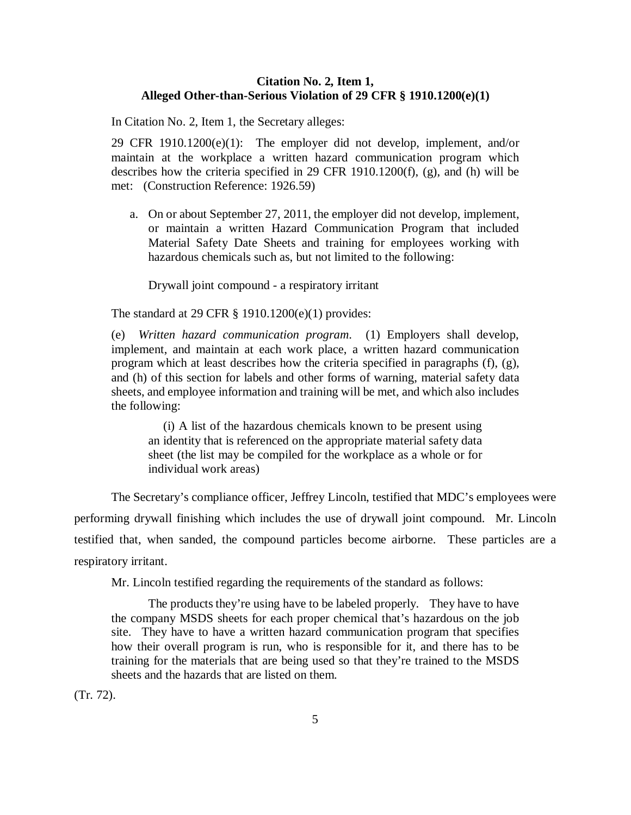#### **Citation No. 2, Item 1, Alleged Other-than-Serious Violation of 29 CFR § 1910.1200(e)(1)**

In Citation No. 2, Item 1, the Secretary alleges:

29 CFR 1910.1200(e)(1):The employer did not develop, implement, and/or maintain at the workplace a written hazard communication program which describes how the criteria specified in 29 CFR 1910.1200(f), (g), and (h) will be met: (Construction Reference: 1926.59)

a. On or about September 27, 2011, the employer did not develop, implement, or maintain a written Hazard Communication Program that included Material Safety Date Sheets and training for employees working with hazardous chemicals such as, but not limited to the following:

Drywall joint compound - a respiratory irritant

The standard at 29 CFR § 1910.1200(e)(1) provides:

(e) *Written hazard communication program*. (1) Employers shall develop, implement, and maintain at each work place, a written hazard communication program which at least describes how the criteria specified in paragraphs (f), (g), and (h) of this section for labels and other forms of warning, material safety data sheets, and employee information and training will be met, and which also includes the following:

(i) A list of the hazardous chemicals known to be present using an identity that is referenced on the appropriate material safety data sheet (the list may be compiled for the workplace as a whole or for individual work areas)

The Secretary's compliance officer, Jeffrey Lincoln, testified that MDC's employees were performing drywall finishing which includes the use of drywall joint compound. Mr. Lincoln testified that, when sanded, the compound particles become airborne. These particles are a respiratory irritant.

Mr. Lincoln testified regarding the requirements of the standard as follows:

The products they're using have to be labeled properly. They have to have the company MSDS sheets for each proper chemical that's hazardous on the job site. They have to have a written hazard communication program that specifies how their overall program is run, who is responsible for it, and there has to be training for the materials that are being used so that they're trained to the MSDS sheets and the hazards that are listed on them.

(Tr. 72).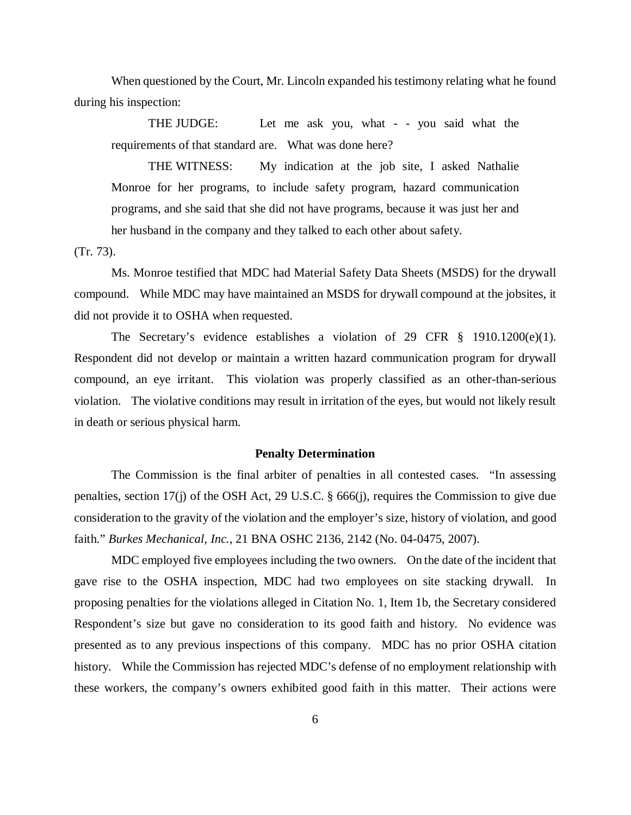When questioned by the Court, Mr. Lincoln expanded his testimony relating what he found during his inspection:

THE JUDGE: Let me ask you, what - - you said what the requirements of that standard are. What was done here?

THE WITNESS: My indication at the job site, I asked Nathalie Monroe for her programs, to include safety program, hazard communication programs, and she said that she did not have programs, because it was just her and her husband in the company and they talked to each other about safety.

(Tr. 73).

Ms. Monroe testified that MDC had Material Safety Data Sheets (MSDS) for the drywall compound. While MDC may have maintained an MSDS for drywall compound at the jobsites, it did not provide it to OSHA when requested.

The Secretary's evidence establishes a violation of 29 CFR § 1910.1200(e)(1). Respondent did not develop or maintain a written hazard communication program for drywall compound, an eye irritant. This violation was properly classified as an other-than-serious violation. The violative conditions may result in irritation of the eyes, but would not likely result in death or serious physical harm.

#### **Penalty Determination**

The Commission is the final arbiter of penalties in all contested cases. "In assessing penalties, section 17(j) of the OSH Act, 29 U.S.C. § 666(j), requires the Commission to give due consideration to the gravity of the violation and the employer's size, history of violation, and good faith." *Burkes Mechanical, Inc.*, 21 BNA OSHC 2136, 2142 (No. 04-0475, 2007).

MDC employed five employees including the two owners. On the date of the incident that gave rise to the OSHA inspection, MDC had two employees on site stacking drywall. In proposing penalties for the violations alleged in Citation No. 1, Item 1b, the Secretary considered Respondent's size but gave no consideration to its good faith and history. No evidence was presented as to any previous inspections of this company. MDC has no prior OSHA citation history. While the Commission has rejected MDC's defense of no employment relationship with these workers, the company's owners exhibited good faith in this matter. Their actions were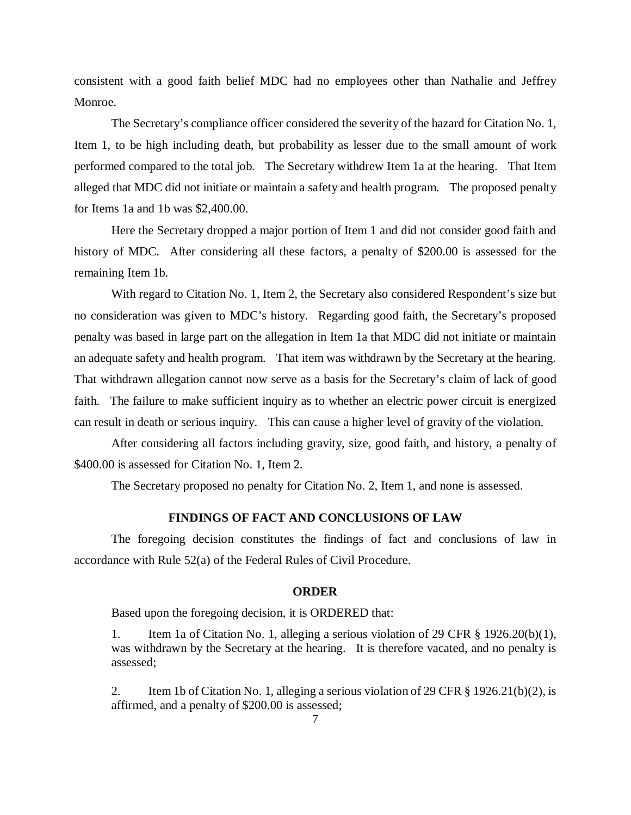consistent with a good faith belief MDC had no employees other than Nathalie and Jeffrey Monroe.

The Secretary's compliance officer considered the severity of the hazard for Citation No. 1, Item 1, to be high including death, but probability as lesser due to the small amount of work performed compared to the total job. The Secretary withdrew Item 1a at the hearing. That Item alleged that MDC did not initiate or maintain a safety and health program. The proposed penalty for Items 1a and 1b was \$2,400.00.

Here the Secretary dropped a major portion of Item 1 and did not consider good faith and history of MDC. After considering all these factors, a penalty of \$200.00 is assessed for the remaining Item 1b.

With regard to Citation No. 1, Item 2, the Secretary also considered Respondent's size but no consideration was given to MDC's history. Regarding good faith, the Secretary's proposed penalty was based in large part on the allegation in Item 1a that MDC did not initiate or maintain an adequate safety and health program. That item was withdrawn by the Secretary at the hearing. That withdrawn allegation cannot now serve as a basis for the Secretary's claim of lack of good faith. The failure to make sufficient inquiry as to whether an electric power circuit is energized can result in death or serious inquiry. This can cause a higher level of gravity of the violation.

After considering all factors including gravity, size, good faith, and history, a penalty of \$400.00 is assessed for Citation No. 1, Item 2.

The Secretary proposed no penalty for Citation No. 2, Item 1, and none is assessed.

## **FINDINGS OF FACT AND CONCLUSIONS OF LAW**

The foregoing decision constitutes the findings of fact and conclusions of law in accordance with Rule 52(a) of the Federal Rules of Civil Procedure.

### **ORDER**

Based upon the foregoing decision, it is ORDERED that:

1. Item 1a of Citation No. 1, alleging a serious violation of 29 CFR § 1926.20(b)(1), was withdrawn by the Secretary at the hearing. It is therefore vacated, and no penalty is assessed;

2. Item 1b of Citation No. 1, alleging a serious violation of 29 CFR § 1926.21(b)(2), is affirmed, and a penalty of \$200.00 is assessed;